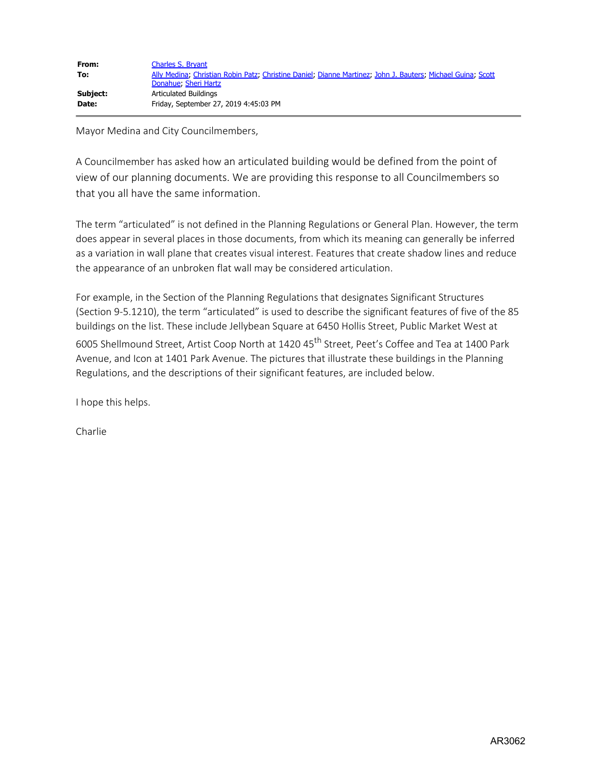| From:    | Charles S. Brvant                                                                                           |
|----------|-------------------------------------------------------------------------------------------------------------|
| To:      | Ally Medina; Christian Robin Patz; Christine Daniel; Dianne Martinez; John J. Bauters; Michael Guina; Scott |
|          | Donahue, Sheri Hartz                                                                                        |
| Subject: | Articulated Buildings                                                                                       |
| Date:    | Friday, September 27, 2019 4:45:03 PM                                                                       |

Mayor Medina and City Councilmembers,

A Councilmember has asked how an articulated building would be defined from the point of view of our planning documents. We are providing this response to all Councilmembers so that you all have the same information.

The term "articulated" is not defined in the Planning Regulations or General Plan. However, the term does appear in several places in those documents, from which its meaning can generally be inferred as a variation in wall plane that creates visual interest. Features that create shadow lines and reduce the appearance of an unbroken flat wall may be considered articulation.

For example, in the Section of the Planning Regulations that designates Significant Structures (Section 9-5.1210), the term "articulated" is used to describe the significant features of five of the 85 buildings on the list. These include Jellybean Square at 6450 Hollis Street, Public Market West at 6005 Shellmound Street, Artist Coop North at 1420 45<sup>th</sup> Street, Peet's Coffee and Tea at 1400 Park Avenue, and Icon at 1401 Park Avenue. The pictures that illustrate these buildings in the Planning Regulations, and the descriptions of their significant features, are included below.

I hope this helps.

Charlie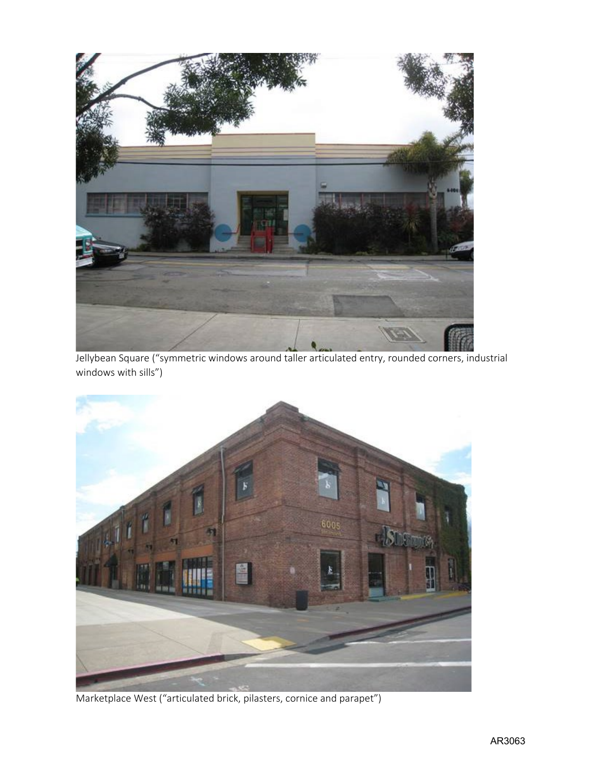

Jellybean Square ("symmetric windows around taller articulated entry, rounded corners, industrial windows with sills")



Marketplace West ("articulated brick, pilasters, cornice and parapet")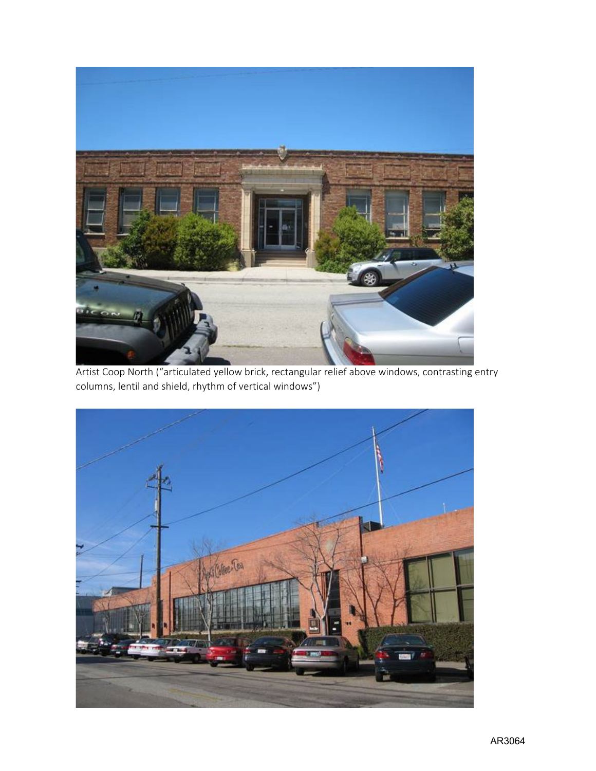

Artist Coop North ("articulated yellow brick, rectangular relief above windows, contrasting entry columns, lentil and shield, rhythm of vertical windows")